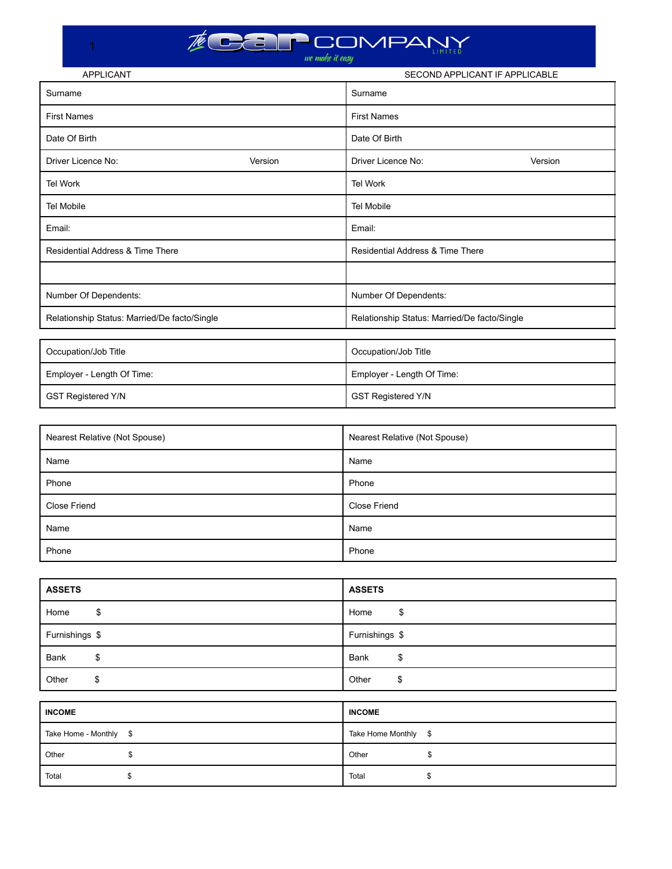1

| <b>APPLICANT</b>                             |         |                                  | SECOND APPLICANT IF APPLICABLE               |  |
|----------------------------------------------|---------|----------------------------------|----------------------------------------------|--|
| Surname                                      |         | Surname                          |                                              |  |
| <b>First Names</b>                           |         | <b>First Names</b>               |                                              |  |
| Date Of Birth                                |         | Date Of Birth                    |                                              |  |
| Driver Licence No:                           | Version | Driver Licence No:               | Version                                      |  |
| <b>Tel Work</b>                              |         | <b>Tel Work</b>                  |                                              |  |
| <b>Tel Mobile</b>                            |         | <b>Tel Mobile</b>                |                                              |  |
| Email:                                       |         | Email:                           |                                              |  |
| Residential Address & Time There             |         | Residential Address & Time There |                                              |  |
|                                              |         |                                  |                                              |  |
| Number Of Dependents:                        |         | Number Of Dependents:            |                                              |  |
| Relationship Status: Married/De facto/Single |         |                                  | Relationship Status: Married/De facto/Single |  |
|                                              |         |                                  |                                              |  |
| Occupation/Job Title                         |         | Occupation/Job Title             |                                              |  |
| Employer - Length Of Time:                   |         | Employer - Length Of Time:       |                                              |  |
| <b>GST Registered Y/N</b>                    |         | <b>GST Registered Y/N</b>        |                                              |  |

| Nearest Relative (Not Spouse) | Nearest Relative (Not Spouse) |
|-------------------------------|-------------------------------|
| Name                          | Name                          |
| Phone                         | Phone                         |
| <b>Close Friend</b>           | <b>Close Friend</b>           |
| Name                          | Name                          |
| Phone                         | Phone                         |

| <b>ASSETS</b>          | <b>ASSETS</b>        |
|------------------------|----------------------|
| \$                     | \$                   |
| Home                   | Home                 |
| Furnishings \$         | Furnishings \$       |
| \$                     | Bank                 |
| Bank                   | \$                   |
| \$                     | Other                |
| Other                  | \$                   |
|                        |                      |
| <b>INCOME</b>          | <b>INCOME</b>        |
| Take Home - Monthly \$ | Take Home Monthly \$ |
| \$                     | Other                |
| Other                  | \$                   |
| Total                  | Total                |
| \$                     | \$                   |